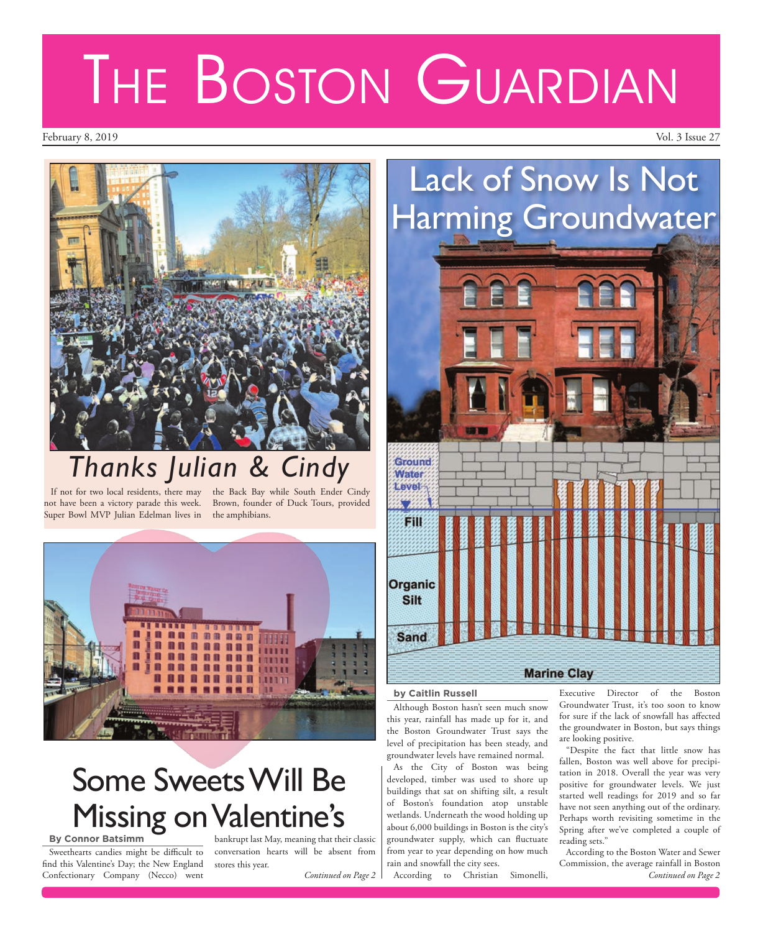## Lack of Snow Is Not Harming Groundwater



## **by Caitlin Russell**

Although Boston hasn't seen much snow this year, rainfall has made up for it, and the Boston Groundwater Trust says the level of precipitation has been steady, and groundwater levels have remained normal.

As the City of Boston was being developed, timber was used to shore up buildings that sat on shifting silt, a result of Boston's foundation atop unstable wetlands. Underneath the wood holding up about 6,000 buildings in Boston is the city's groundwater supply, which can fluctuate from year to year depending on how much rain and snowfall the city sees.

According to Christian Simonelli,

Executive Director of the Boston Groundwater Trust, it's too soon to know for sure if the lack of snowfall has affected the groundwater in Boston, but says things are looking positive.

"Despite the fact that little snow has fallen, Boston was well above for precipitation in 2018. Overall the year was very positive for groundwater levels. We just started well readings for 2019 and so far have not seen anything out of the ordinary. Perhaps worth revisiting sometime in the Spring after we've completed a couple of reading sets."

According to the Boston Water and Sewer Commission, the average rainfall in Boston *Continued on Page 2*